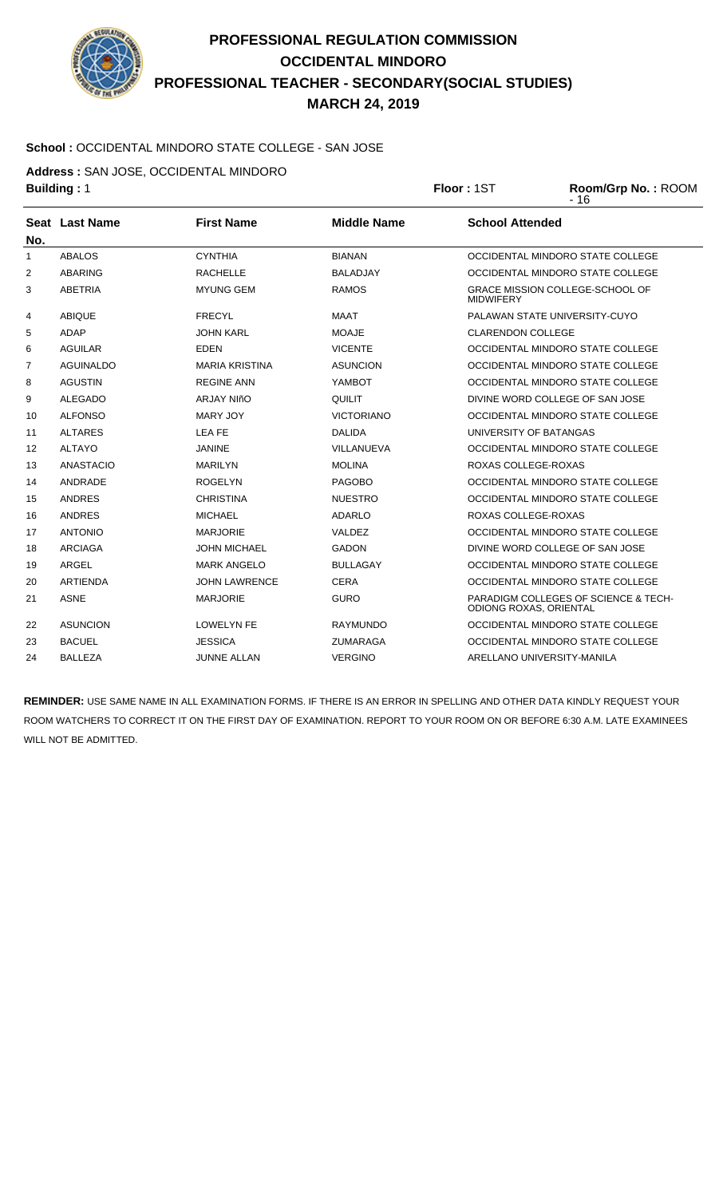

#### **School :** OCCIDENTAL MINDORO STATE COLLEGE - SAN JOSE

**Address :** SAN JOSE, OCCIDENTAL MINDORO

| <b>Building: 1</b> |                  |                       |                    | Floor: 1ST               | Room/Grp No.: ROOM<br>$-16$          |
|--------------------|------------------|-----------------------|--------------------|--------------------------|--------------------------------------|
| No.                | Seat Last Name   | <b>First Name</b>     | <b>Middle Name</b> | <b>School Attended</b>   |                                      |
| 1                  | <b>ABALOS</b>    | <b>CYNTHIA</b>        | <b>BIANAN</b>      |                          | OCCIDENTAL MINDORO STATE COLLEGE     |
| 2                  | ABARING          | <b>RACHELLE</b>       | <b>BALADJAY</b>    |                          | OCCIDENTAL MINDORO STATE COLLEGE     |
| 3                  | <b>ABETRIA</b>   | <b>MYUNG GEM</b>      | <b>RAMOS</b>       | <b>MIDWIFERY</b>         | GRACE MISSION COLLEGE-SCHOOL OF      |
| 4                  | <b>ABIQUE</b>    | <b>FRECYL</b>         | <b>MAAT</b>        |                          | PALAWAN STATE UNIVERSITY-CUYO        |
| 5                  | <b>ADAP</b>      | <b>JOHN KARL</b>      | <b>MOAJE</b>       | <b>CLARENDON COLLEGE</b> |                                      |
| 6                  | <b>AGUILAR</b>   | <b>EDEN</b>           | <b>VICENTE</b>     |                          | OCCIDENTAL MINDORO STATE COLLEGE     |
| $\overline{7}$     | <b>AGUINALDO</b> | <b>MARIA KRISTINA</b> | <b>ASUNCION</b>    |                          | OCCIDENTAL MINDORO STATE COLLEGE     |
| 8                  | <b>AGUSTIN</b>   | <b>REGINE ANN</b>     | YAMBOT             |                          | OCCIDENTAL MINDORO STATE COLLEGE     |
| 9                  | <b>ALEGADO</b>   | <b>ARJAY NIñO</b>     | QUILIT             |                          | DIVINE WORD COLLEGE OF SAN JOSE      |
| 10                 | <b>ALFONSO</b>   | <b>MARY JOY</b>       | <b>VICTORIANO</b>  |                          | OCCIDENTAL MINDORO STATE COLLEGE     |
| 11                 | <b>ALTARES</b>   | LEA FE                | <b>DALIDA</b>      | UNIVERSITY OF BATANGAS   |                                      |
| 12                 | <b>ALTAYO</b>    | JANINE                | VILLANUEVA         |                          | OCCIDENTAL MINDORO STATE COLLEGE     |
| 13                 | <b>ANASTACIO</b> | <b>MARILYN</b>        | <b>MOLINA</b>      | ROXAS COLLEGE-ROXAS      |                                      |
| 14                 | ANDRADE          | <b>ROGELYN</b>        | <b>PAGOBO</b>      |                          | OCCIDENTAL MINDORO STATE COLLEGE     |
| 15                 | <b>ANDRES</b>    | <b>CHRISTINA</b>      | <b>NUESTRO</b>     |                          | OCCIDENTAL MINDORO STATE COLLEGE     |
| 16                 | <b>ANDRES</b>    | <b>MICHAEL</b>        | ADARLO             | ROXAS COLLEGE-ROXAS      |                                      |
| 17                 | <b>ANTONIO</b>   | <b>MARJORIE</b>       | VALDEZ             |                          | OCCIDENTAL MINDORO STATE COLLEGE     |
| 18                 | <b>ARCIAGA</b>   | JOHN MICHAEL          | <b>GADON</b>       |                          | DIVINE WORD COLLEGE OF SAN JOSE      |
| 19                 | <b>ARGEL</b>     | <b>MARK ANGELO</b>    | <b>BULLAGAY</b>    |                          | OCCIDENTAL MINDORO STATE COLLEGE     |
| 20                 | <b>ARTIENDA</b>  | <b>JOHN LAWRENCE</b>  | <b>CERA</b>        |                          | OCCIDENTAL MINDORO STATE COLLEGE     |
| 21                 | <b>ASNE</b>      | <b>MARJORIE</b>       | <b>GURO</b>        | ODIONG ROXAS, ORIENTAL   | PARADIGM COLLEGES OF SCIENCE & TECH- |
| 22                 | <b>ASUNCION</b>  | <b>LOWELYN FE</b>     | <b>RAYMUNDO</b>    |                          | OCCIDENTAL MINDORO STATE COLLEGE     |
| 23                 | <b>BACUEL</b>    | <b>JESSICA</b>        | <b>ZUMARAGA</b>    |                          | OCCIDENTAL MINDORO STATE COLLEGE     |
| 24                 | <b>BALLEZA</b>   | <b>JUNNE ALLAN</b>    | <b>VERGINO</b>     |                          | ARELLANO UNIVERSITY-MANILA           |
|                    |                  |                       |                    |                          |                                      |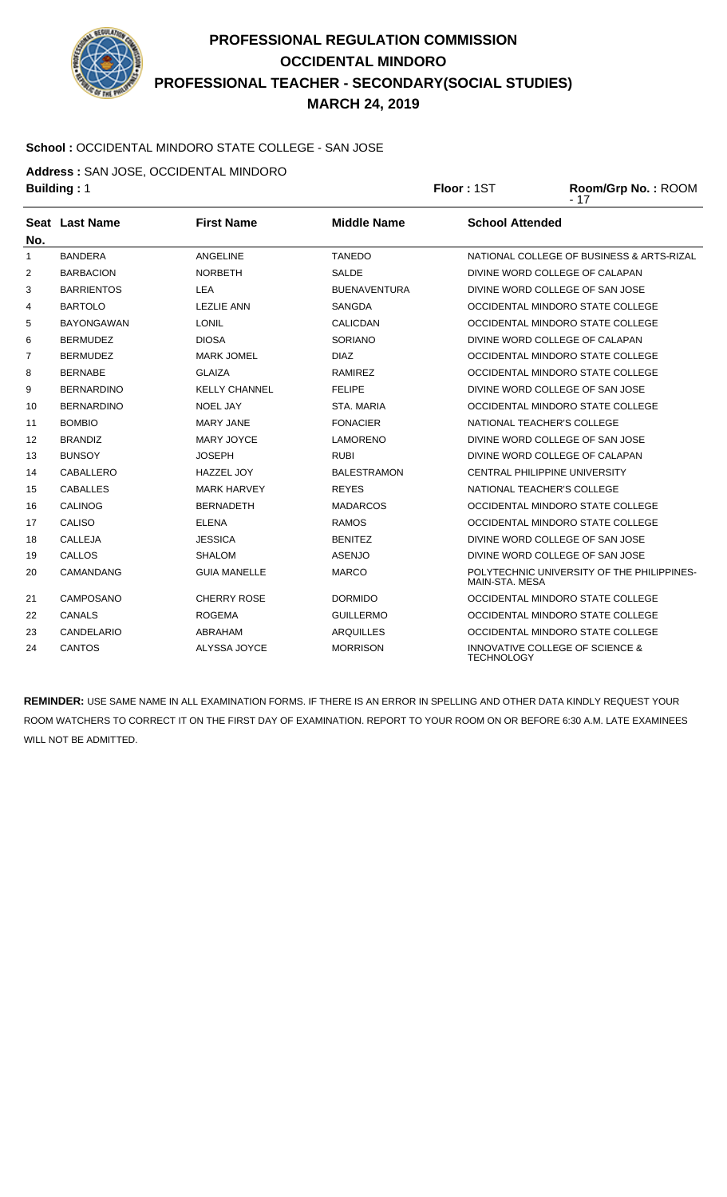

#### **School :** OCCIDENTAL MINDORO STATE COLLEGE - SAN JOSE

**Address :** SAN JOSE, OCCIDENTAL MINDORO

**Building :** 1 **Floor :** 1ST **Room/Grp No. :** ROOM

|     |                   |                      |                     | $-17$                                                           |
|-----|-------------------|----------------------|---------------------|-----------------------------------------------------------------|
| No. | Seat Last Name    | <b>First Name</b>    | <b>Middle Name</b>  | <b>School Attended</b>                                          |
| 1   | <b>BANDERA</b>    | ANGELINE             | <b>TANEDO</b>       | NATIONAL COLLEGE OF BUSINESS & ARTS-RIZAL                       |
| 2   | <b>BARBACION</b>  | <b>NORBETH</b>       | SALDE               | DIVINE WORD COLLEGE OF CALAPAN                                  |
| 3   | <b>BARRIENTOS</b> | <b>LEA</b>           | <b>BUENAVENTURA</b> | DIVINE WORD COLLEGE OF SAN JOSE                                 |
| 4   | <b>BARTOLO</b>    | <b>LEZLIE ANN</b>    | <b>SANGDA</b>       | OCCIDENTAL MINDORO STATE COLLEGE                                |
| 5   | <b>BAYONGAWAN</b> | <b>LONIL</b>         | <b>CALICDAN</b>     | OCCIDENTAL MINDORO STATE COLLEGE                                |
| 6   | <b>BERMUDEZ</b>   | <b>DIOSA</b>         | SORIANO             | DIVINE WORD COLLEGE OF CALAPAN                                  |
| 7   | <b>BERMUDEZ</b>   | <b>MARK JOMEL</b>    | <b>DIAZ</b>         | OCCIDENTAL MINDORO STATE COLLEGE                                |
| 8   | <b>BERNABE</b>    | <b>GLAIZA</b>        | <b>RAMIREZ</b>      | OCCIDENTAL MINDORO STATE COLLEGE                                |
| 9   | <b>BERNARDINO</b> | <b>KELLY CHANNEL</b> | <b>FELIPE</b>       | DIVINE WORD COLLEGE OF SAN JOSE                                 |
| 10  | <b>BERNARDINO</b> | <b>NOEL JAY</b>      | STA, MARIA          | OCCIDENTAL MINDORO STATE COLLEGE                                |
| 11  | <b>BOMBIO</b>     | MARY JANE            | <b>FONACIER</b>     | NATIONAL TEACHER'S COLLEGE                                      |
| 12  | <b>BRANDIZ</b>    | <b>MARY JOYCE</b>    | <b>LAMORENO</b>     | DIVINE WORD COLLEGE OF SAN JOSE                                 |
| 13  | <b>BUNSOY</b>     | <b>JOSEPH</b>        | <b>RUBI</b>         | DIVINE WORD COLLEGE OF CALAPAN                                  |
| 14  | CABALLERO         | <b>HAZZEL JOY</b>    | <b>BALESTRAMON</b>  | CENTRAL PHILIPPINE UNIVERSITY                                   |
| 15  | <b>CABALLES</b>   | <b>MARK HARVEY</b>   | <b>REYES</b>        | NATIONAL TEACHER'S COLLEGE                                      |
| 16  | <b>CALINOG</b>    | <b>BERNADETH</b>     | <b>MADARCOS</b>     | OCCIDENTAL MINDORO STATE COLLEGE                                |
| 17  | <b>CALISO</b>     | <b>ELENA</b>         | <b>RAMOS</b>        | OCCIDENTAL MINDORO STATE COLLEGE                                |
| 18  | CALLEJA           | <b>JESSICA</b>       | <b>BENITEZ</b>      | DIVINE WORD COLLEGE OF SAN JOSE                                 |
| 19  | CALLOS            | <b>SHALOM</b>        | <b>ASENJO</b>       | DIVINE WORD COLLEGE OF SAN JOSE                                 |
| 20  | <b>CAMANDANG</b>  | <b>GUIA MANELLE</b>  | <b>MARCO</b>        | POLYTECHNIC UNIVERSITY OF THE PHILIPPINES-<br>MAIN-STA, MESA    |
| 21  | CAMPOSANO         | <b>CHERRY ROSE</b>   | <b>DORMIDO</b>      | OCCIDENTAL MINDORO STATE COLLEGE                                |
| 22  | <b>CANALS</b>     | <b>ROGEMA</b>        | <b>GUILLERMO</b>    | OCCIDENTAL MINDORO STATE COLLEGE                                |
| 23  | CANDELARIO        | <b>ABRAHAM</b>       | <b>ARQUILLES</b>    | OCCIDENTAL MINDORO STATE COLLEGE                                |
| 24  | <b>CANTOS</b>     | ALYSSA JOYCE         | <b>MORRISON</b>     | <b>INNOVATIVE COLLEGE OF SCIENCE &amp;</b><br><b>TECHNOLOGY</b> |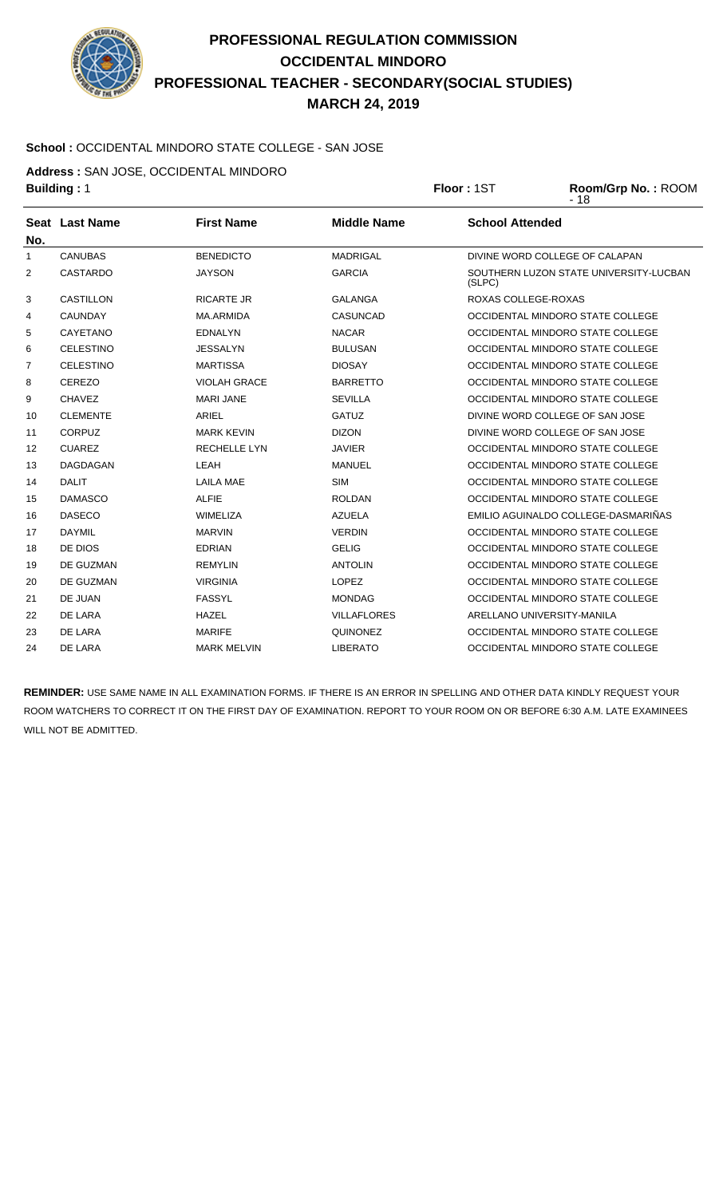

#### **School :** OCCIDENTAL MINDORO STATE COLLEGE - SAN JOSE

**Address :** SAN JOSE, OCCIDENTAL MINDORO

| <b>Building: 1</b> |                  |                     | Floor: 1ST         | Room/Grp No.: ROOM<br>$-18$ |                                        |
|--------------------|------------------|---------------------|--------------------|-----------------------------|----------------------------------------|
|                    | Seat Last Name   | <b>First Name</b>   | <b>Middle Name</b> | <b>School Attended</b>      |                                        |
| No.                |                  |                     |                    |                             |                                        |
| 1                  | <b>CANUBAS</b>   | <b>BENEDICTO</b>    | <b>MADRIGAL</b>    |                             | DIVINE WORD COLLEGE OF CALAPAN         |
| 2                  | <b>CASTARDO</b>  | <b>JAYSON</b>       | <b>GARCIA</b>      | (SLPC)                      | SOUTHERN LUZON STATE UNIVERSITY-LUCBAN |
| 3                  | <b>CASTILLON</b> | <b>RICARTE JR</b>   | <b>GALANGA</b>     | ROXAS COLLEGE-ROXAS         |                                        |
| 4                  | <b>CAUNDAY</b>   | <b>MA.ARMIDA</b>    | <b>CASUNCAD</b>    |                             | OCCIDENTAL MINDORO STATE COLLEGE       |
| 5                  | <b>CAYETANO</b>  | <b>EDNALYN</b>      | <b>NACAR</b>       |                             | OCCIDENTAL MINDORO STATE COLLEGE       |
| 6                  | <b>CELESTINO</b> | <b>JESSALYN</b>     | <b>BULUSAN</b>     |                             | OCCIDENTAL MINDORO STATE COLLEGE       |
| $\overline{7}$     | <b>CELESTINO</b> | <b>MARTISSA</b>     | <b>DIOSAY</b>      |                             | OCCIDENTAL MINDORO STATE COLLEGE       |
| 8                  | CEREZO           | <b>VIOLAH GRACE</b> | <b>BARRETTO</b>    |                             | OCCIDENTAL MINDORO STATE COLLEGE       |
| 9                  | <b>CHAVEZ</b>    | <b>MARI JANE</b>    | <b>SEVILLA</b>     |                             | OCCIDENTAL MINDORO STATE COLLEGE       |
| 10                 | <b>CLEMENTE</b>  | <b>ARIEL</b>        | <b>GATUZ</b>       |                             | DIVINE WORD COLLEGE OF SAN JOSE        |
| 11                 | <b>CORPUZ</b>    | <b>MARK KEVIN</b>   | <b>DIZON</b>       |                             | DIVINE WORD COLLEGE OF SAN JOSE        |
| 12                 | <b>CUAREZ</b>    | RECHELLE LYN        | <b>JAVIER</b>      |                             | OCCIDENTAL MINDORO STATE COLLEGE       |
| 13                 | <b>DAGDAGAN</b>  | <b>LEAH</b>         | <b>MANUEL</b>      |                             | OCCIDENTAL MINDORO STATE COLLEGE       |
| 14                 | <b>DALIT</b>     | <b>LAILA MAE</b>    | <b>SIM</b>         |                             | OCCIDENTAL MINDORO STATE COLLEGE       |
| 15                 | <b>DAMASCO</b>   | <b>ALFIE</b>        | <b>ROLDAN</b>      |                             | OCCIDENTAL MINDORO STATE COLLEGE       |
| 16                 | <b>DASECO</b>    | <b>WIMELIZA</b>     | <b>AZUELA</b>      |                             | EMILIO AGUINALDO COLLEGE-DASMARIÑAS    |
| 17                 | <b>DAYMIL</b>    | <b>MARVIN</b>       | <b>VERDIN</b>      |                             | OCCIDENTAL MINDORO STATE COLLEGE       |
| 18                 | DE DIOS          | <b>EDRIAN</b>       | <b>GELIG</b>       |                             | OCCIDENTAL MINDORO STATE COLLEGE       |
| 19                 | DE GUZMAN        | <b>REMYLIN</b>      | <b>ANTOLIN</b>     |                             | OCCIDENTAL MINDORO STATE COLLEGE       |
| 20                 | DE GUZMAN        | <b>VIRGINIA</b>     | <b>LOPEZ</b>       |                             | OCCIDENTAL MINDORO STATE COLLEGE       |
| 21                 | DE JUAN          | <b>FASSYL</b>       | <b>MONDAG</b>      |                             | OCCIDENTAL MINDORO STATE COLLEGE       |
| 22                 | DE LARA          | <b>HAZEL</b>        | <b>VILLAFLORES</b> |                             | ARELLANO UNIVERSITY-MANILA             |
| 23                 | DE LARA          | <b>MARIFE</b>       | QUINONEZ           |                             | OCCIDENTAL MINDORO STATE COLLEGE       |
| 24                 | DE LARA          | <b>MARK MELVIN</b>  | <b>LIBERATO</b>    |                             | OCCIDENTAL MINDORO STATE COLLEGE       |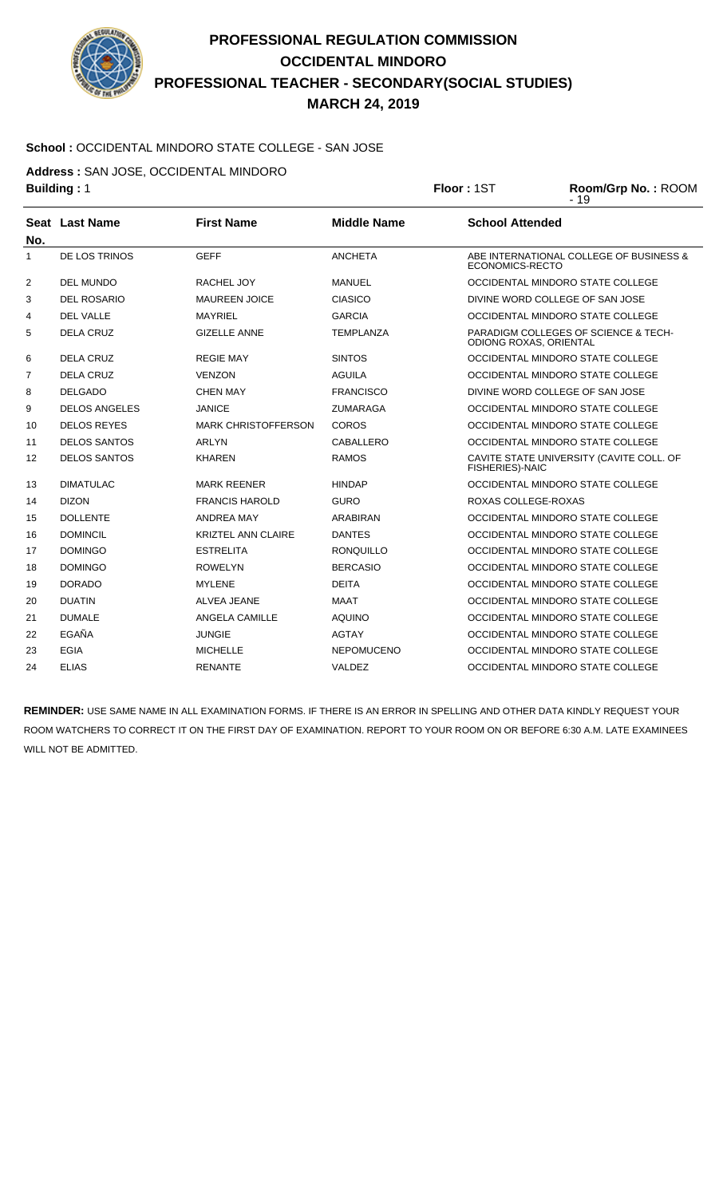

#### **School :** OCCIDENTAL MINDORO STATE COLLEGE - SAN JOSE

**Address :** SAN JOSE, OCCIDENTAL MINDORO

|                | <b>Building: 1</b>   |                            |                    | Floor: 1ST                    | Room/Grp No.: ROOM<br>$-19$              |
|----------------|----------------------|----------------------------|--------------------|-------------------------------|------------------------------------------|
| No.            | Seat Last Name       | <b>First Name</b>          | <b>Middle Name</b> | <b>School Attended</b>        |                                          |
| 1              | DE LOS TRINOS        | <b>GEFF</b>                | <b>ANCHETA</b>     | ECONOMICS-RECTO               | ABE INTERNATIONAL COLLEGE OF BUSINESS &  |
| 2              | <b>DEL MUNDO</b>     | RACHEL JOY                 | <b>MANUEL</b>      |                               | OCCIDENTAL MINDORO STATE COLLEGE         |
| 3              | <b>DEL ROSARIO</b>   | <b>MAUREEN JOICE</b>       | <b>CIASICO</b>     |                               | DIVINE WORD COLLEGE OF SAN JOSE          |
| 4              | <b>DEL VALLE</b>     | <b>MAYRIEL</b>             | <b>GARCIA</b>      |                               | OCCIDENTAL MINDORO STATE COLLEGE         |
| 5              | DELA CRUZ            | <b>GIZELLE ANNE</b>        | <b>TEMPLANZA</b>   | <b>ODIONG ROXAS, ORIENTAL</b> | PARADIGM COLLEGES OF SCIENCE & TECH-     |
| 6              | <b>DELA CRUZ</b>     | <b>REGIE MAY</b>           | <b>SINTOS</b>      |                               | OCCIDENTAL MINDORO STATE COLLEGE         |
| $\overline{7}$ | <b>DELA CRUZ</b>     | <b>VENZON</b>              | <b>AGUILA</b>      |                               | OCCIDENTAL MINDORO STATE COLLEGE         |
| 8              | <b>DELGADO</b>       | <b>CHEN MAY</b>            | <b>FRANCISCO</b>   |                               | DIVINE WORD COLLEGE OF SAN JOSE          |
| 9              | <b>DELOS ANGELES</b> | <b>JANICE</b>              | <b>ZUMARAGA</b>    |                               | OCCIDENTAL MINDORO STATE COLLEGE         |
| 10             | <b>DELOS REYES</b>   | <b>MARK CHRISTOFFERSON</b> | <b>COROS</b>       |                               | OCCIDENTAL MINDORO STATE COLLEGE         |
| 11             | <b>DELOS SANTOS</b>  | ARLYN                      | CABALLERO          |                               | OCCIDENTAL MINDORO STATE COLLEGE         |
| 12             | <b>DELOS SANTOS</b>  | <b>KHAREN</b>              | <b>RAMOS</b>       | <b>FISHERIES)-NAIC</b>        | CAVITE STATE UNIVERSITY (CAVITE COLL. OF |
| 13             | <b>DIMATULAC</b>     | <b>MARK REENER</b>         | <b>HINDAP</b>      |                               | OCCIDENTAL MINDORO STATE COLLEGE         |
| 14             | <b>DIZON</b>         | <b>FRANCIS HAROLD</b>      | <b>GURO</b>        | ROXAS COLLEGE-ROXAS           |                                          |
| 15             | <b>DOLLENTE</b>      | <b>ANDREA MAY</b>          | <b>ARABIRAN</b>    |                               | OCCIDENTAL MINDORO STATE COLLEGE         |
| 16             | <b>DOMINCIL</b>      | <b>KRIZTEL ANN CLAIRE</b>  | <b>DANTES</b>      |                               | OCCIDENTAL MINDORO STATE COLLEGE         |
| 17             | <b>DOMINGO</b>       | <b>ESTRELITA</b>           | <b>RONQUILLO</b>   |                               | OCCIDENTAL MINDORO STATE COLLEGE         |
| 18             | <b>DOMINGO</b>       | <b>ROWELYN</b>             | <b>BERCASIO</b>    |                               | OCCIDENTAL MINDORO STATE COLLEGE         |
| 19             | <b>DORADO</b>        | <b>MYLENE</b>              | <b>DEITA</b>       |                               | OCCIDENTAL MINDORO STATE COLLEGE         |
| 20             | <b>DUATIN</b>        | ALVEA JEANE                | <b>MAAT</b>        |                               | OCCIDENTAL MINDORO STATE COLLEGE         |
| 21             | <b>DUMALE</b>        | ANGELA CAMILLE             | <b>AQUINO</b>      |                               | OCCIDENTAL MINDORO STATE COLLEGE         |
| 22             | EGAÑA                | <b>JUNGIE</b>              | AGTAY              |                               | OCCIDENTAL MINDORO STATE COLLEGE         |
| 23             | <b>EGIA</b>          | <b>MICHELLE</b>            | <b>NEPOMUCENO</b>  |                               | OCCIDENTAL MINDORO STATE COLLEGE         |
| 24             | <b>ELIAS</b>         | <b>RENANTE</b>             | VALDEZ             |                               | OCCIDENTAL MINDORO STATE COLLEGE         |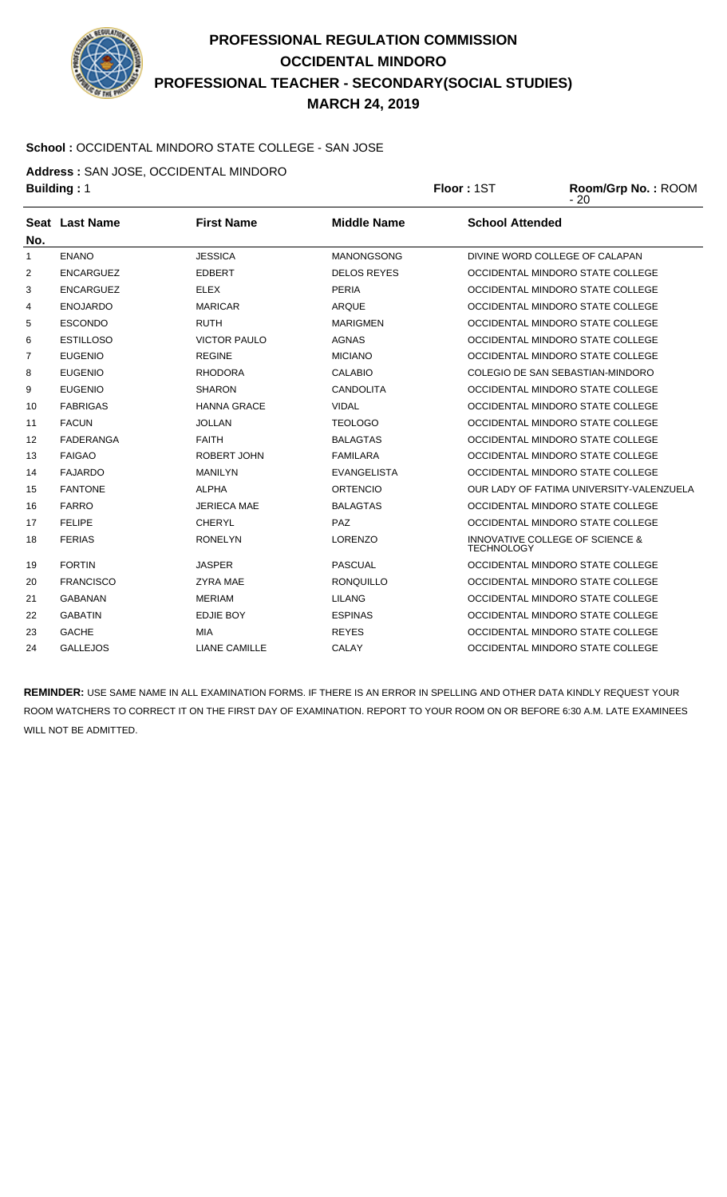

#### **School :** OCCIDENTAL MINDORO STATE COLLEGE - SAN JOSE

**Address :** SAN JOSE, OCCIDENTAL MINDORO

**Building :** 1 **Floor :** 1ST **Room/Grp No. :** ROOM

|     |                  |                      |                    | $-20$                                                |
|-----|------------------|----------------------|--------------------|------------------------------------------------------|
| No. | Seat Last Name   | <b>First Name</b>    | <b>Middle Name</b> | <b>School Attended</b>                               |
| 1   | <b>ENANO</b>     | <b>JESSICA</b>       | <b>MANONGSONG</b>  | DIVINE WORD COLLEGE OF CALAPAN                       |
| 2   | <b>ENCARGUEZ</b> | <b>EDBERT</b>        | <b>DELOS REYES</b> | OCCIDENTAL MINDORO STATE COLLEGE                     |
| 3   | <b>ENCARGUEZ</b> | <b>ELEX</b>          | <b>PERIA</b>       | OCCIDENTAL MINDORO STATE COLLEGE                     |
| 4   | <b>ENOJARDO</b>  | <b>MARICAR</b>       | <b>ARQUE</b>       | OCCIDENTAL MINDORO STATE COLLEGE                     |
| 5   | <b>ESCONDO</b>   | <b>RUTH</b>          | <b>MARIGMEN</b>    | OCCIDENTAL MINDORO STATE COLLEGE                     |
| 6   | <b>ESTILLOSO</b> | <b>VICTOR PAULO</b>  | <b>AGNAS</b>       | OCCIDENTAL MINDORO STATE COLLEGE                     |
| 7   | <b>EUGENIO</b>   | <b>REGINE</b>        | <b>MICIANO</b>     | OCCIDENTAL MINDORO STATE COLLEGE                     |
| 8   | <b>EUGENIO</b>   | <b>RHODORA</b>       | CALABIO            | COLEGIO DE SAN SEBASTIAN-MINDORO                     |
| 9   | <b>EUGENIO</b>   | <b>SHARON</b>        | <b>CANDOLITA</b>   | OCCIDENTAL MINDORO STATE COLLEGE                     |
| 10  | <b>FABRIGAS</b>  | <b>HANNA GRACE</b>   | <b>VIDAL</b>       | OCCIDENTAL MINDORO STATE COLLEGE                     |
| 11  | <b>FACUN</b>     | <b>JOLLAN</b>        | <b>TEOLOGO</b>     | OCCIDENTAL MINDORO STATE COLLEGE                     |
| 12  | <b>FADERANGA</b> | <b>FAITH</b>         | <b>BALAGTAS</b>    | OCCIDENTAL MINDORO STATE COLLEGE                     |
| 13  | <b>FAIGAO</b>    | <b>ROBERT JOHN</b>   | <b>FAMILARA</b>    | OCCIDENTAL MINDORO STATE COLLEGE                     |
| 14  | <b>FAJARDO</b>   | <b>MANILYN</b>       | <b>EVANGELISTA</b> | OCCIDENTAL MINDORO STATE COLLEGE                     |
| 15  | <b>FANTONE</b>   | <b>ALPHA</b>         | <b>ORTENCIO</b>    | OUR LADY OF FATIMA UNIVERSITY-VALENZUELA             |
| 16  | <b>FARRO</b>     | <b>JERIECA MAE</b>   | <b>BALAGTAS</b>    | OCCIDENTAL MINDORO STATE COLLEGE                     |
| 17  | <b>FELIPE</b>    | <b>CHERYL</b>        | PAZ                | OCCIDENTAL MINDORO STATE COLLEGE                     |
| 18  | <b>FERIAS</b>    | <b>RONELYN</b>       | <b>LORENZO</b>     | INNOVATIVE COLLEGE OF SCIENCE &<br><b>TECHNOLOGY</b> |
| 19  | <b>FORTIN</b>    | <b>JASPER</b>        | <b>PASCUAL</b>     | OCCIDENTAL MINDORO STATE COLLEGE                     |
| 20  | <b>FRANCISCO</b> | <b>ZYRA MAE</b>      | <b>RONQUILLO</b>   | OCCIDENTAL MINDORO STATE COLLEGE                     |
| 21  | <b>GABANAN</b>   | <b>MERIAM</b>        | <b>LILANG</b>      | OCCIDENTAL MINDORO STATE COLLEGE                     |
| 22  | <b>GABATIN</b>   | <b>EDJIE BOY</b>     | <b>ESPINAS</b>     | OCCIDENTAL MINDORO STATE COLLEGE                     |
| 23  | <b>GACHE</b>     | MIA                  | <b>REYES</b>       | OCCIDENTAL MINDORO STATE COLLEGE                     |
| 24  | <b>GALLEJOS</b>  | <b>LIANE CAMILLE</b> | CALAY              | OCCIDENTAL MINDORO STATE COLLEGE                     |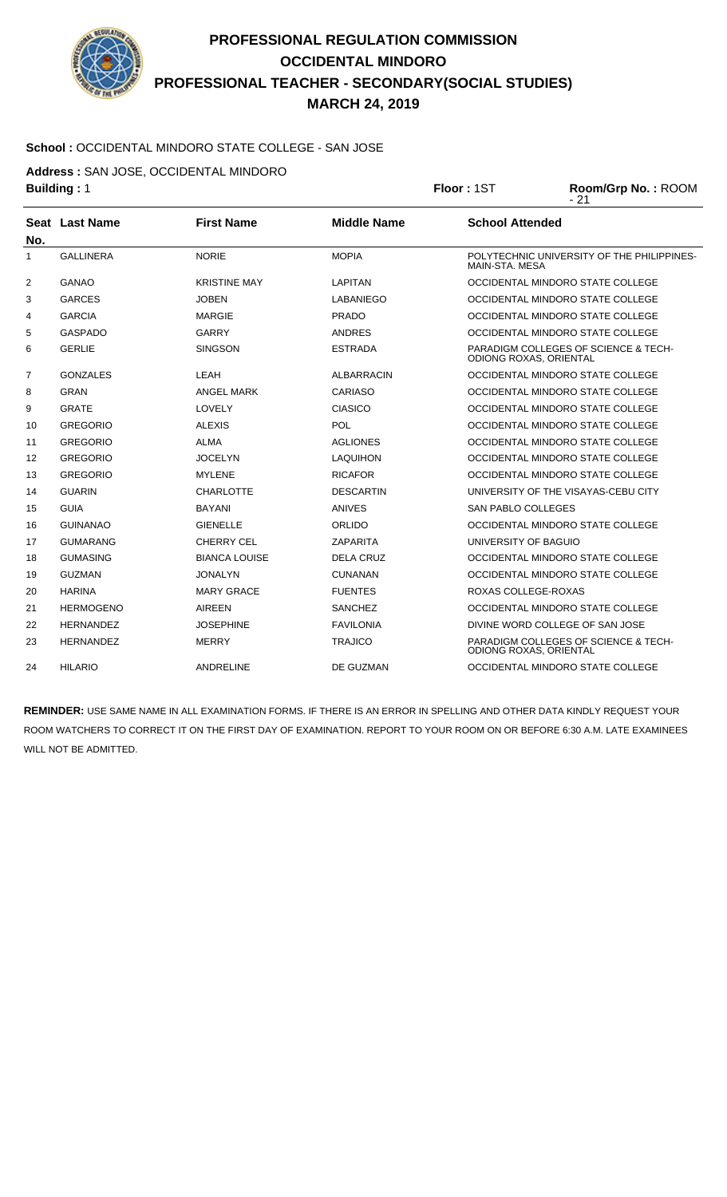

#### **School :** OCCIDENTAL MINDORO STATE COLLEGE - SAN JOSE

**Address :** SAN JOSE, OCCIDENTAL MINDORO

| <b>Building: 1</b> |                  |                      | Floor: 1ST         | Room/Grp No.: ROOM<br>$-21$   |                                                 |
|--------------------|------------------|----------------------|--------------------|-------------------------------|-------------------------------------------------|
| No.                | Seat Last Name   | <b>First Name</b>    | <b>Middle Name</b> | <b>School Attended</b>        |                                                 |
| 1                  | <b>GALLINERA</b> | <b>NORIE</b>         | <b>MOPIA</b>       | MAIN-STA, MESA                | POLYTECHNIC UNIVERSITY OF THE PHILIPPINES-      |
| 2                  | GANAO            | <b>KRISTINE MAY</b>  | <b>LAPITAN</b>     |                               | OCCIDENTAL MINDORO STATE COLLEGE                |
| 3                  | <b>GARCES</b>    | <b>JOBEN</b>         | LABANIEGO          |                               | OCCIDENTAL MINDORO STATE COLLEGE                |
| 4                  | <b>GARCIA</b>    | <b>MARGIE</b>        | <b>PRADO</b>       |                               | OCCIDENTAL MINDORO STATE COLLEGE                |
| 5                  | <b>GASPADO</b>   | <b>GARRY</b>         | <b>ANDRES</b>      |                               | OCCIDENTAL MINDORO STATE COLLEGE                |
| 6                  | <b>GERLIE</b>    | <b>SINGSON</b>       | <b>ESTRADA</b>     | <b>ODIONG ROXAS, ORIENTAL</b> | <b>PARADIGM COLLEGES OF SCIENCE &amp; TECH-</b> |
| $\overline{7}$     | <b>GONZALES</b>  | LEAH                 | <b>ALBARRACIN</b>  |                               | OCCIDENTAL MINDORO STATE COLLEGE                |
| 8                  | <b>GRAN</b>      | <b>ANGEL MARK</b>    | <b>CARIASO</b>     |                               | OCCIDENTAL MINDORO STATE COLLEGE                |
| 9                  | <b>GRATE</b>     | LOVELY               | <b>CIASICO</b>     |                               | OCCIDENTAL MINDORO STATE COLLEGE                |
| 10                 | <b>GREGORIO</b>  | <b>ALEXIS</b>        | POL                |                               | OCCIDENTAL MINDORO STATE COLLEGE                |
| 11                 | <b>GREGORIO</b>  | ALMA                 | <b>AGLIONES</b>    |                               | OCCIDENTAL MINDORO STATE COLLEGE                |
| 12                 | <b>GREGORIO</b>  | <b>JOCELYN</b>       | <b>LAQUIHON</b>    |                               | OCCIDENTAL MINDORO STATE COLLEGE                |
| 13                 | <b>GREGORIO</b>  | <b>MYLENE</b>        | <b>RICAFOR</b>     |                               | OCCIDENTAL MINDORO STATE COLLEGE                |
| 14                 | <b>GUARIN</b>    | <b>CHARLOTTE</b>     | <b>DESCARTIN</b>   |                               | UNIVERSITY OF THE VISAYAS-CEBU CITY             |
| 15                 | <b>GUIA</b>      | <b>BAYANI</b>        | <b>ANIVES</b>      | <b>SAN PABLO COLLEGES</b>     |                                                 |
| 16                 | <b>GUINANAO</b>  | <b>GIENELLE</b>      | ORLIDO             |                               | OCCIDENTAL MINDORO STATE COLLEGE                |
| 17                 | <b>GUMARANG</b>  | <b>CHERRY CEL</b>    | <b>ZAPARITA</b>    | UNIVERSITY OF BAGUIO          |                                                 |
| 18                 | <b>GUMASING</b>  | <b>BIANCA LOUISE</b> | <b>DELA CRUZ</b>   |                               | OCCIDENTAL MINDORO STATE COLLEGE                |
| 19                 | <b>GUZMAN</b>    | <b>JONALYN</b>       | <b>CUNANAN</b>     |                               | OCCIDENTAL MINDORO STATE COLLEGE                |
| 20                 | <b>HARINA</b>    | <b>MARY GRACE</b>    | <b>FUENTES</b>     | ROXAS COLLEGE-ROXAS           |                                                 |
| 21                 | <b>HERMOGENO</b> | <b>AIREEN</b>        | <b>SANCHEZ</b>     |                               | OCCIDENTAL MINDORO STATE COLLEGE                |
| 22                 | <b>HERNANDEZ</b> | <b>JOSEPHINE</b>     | <b>FAVILONIA</b>   |                               | DIVINE WORD COLLEGE OF SAN JOSE                 |
| 23                 | <b>HERNANDEZ</b> | <b>MERRY</b>         | <b>TRAJICO</b>     | ODIONG ROXAS, ORIENTAL        | <b>PARADIGM COLLEGES OF SCIENCE &amp; TECH-</b> |
| 24                 | <b>HILARIO</b>   | <b>ANDRELINE</b>     | DE GUZMAN          |                               | OCCIDENTAL MINDORO STATE COLLEGE                |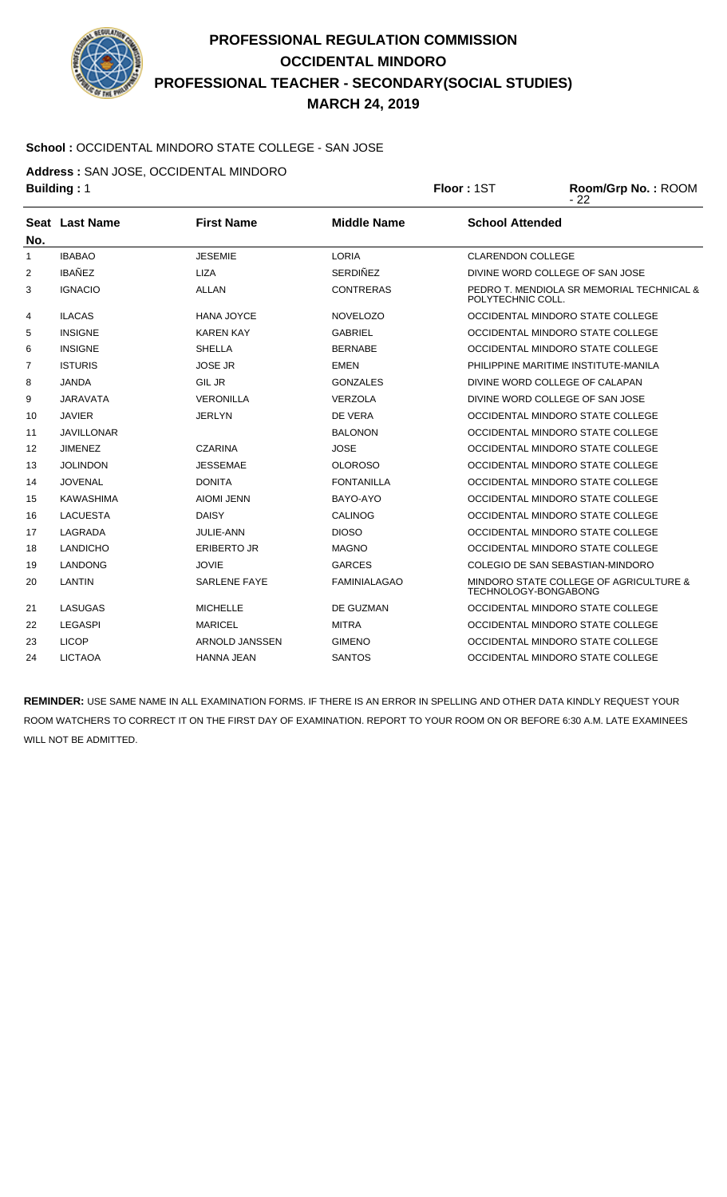

#### **School :** OCCIDENTAL MINDORO STATE COLLEGE - SAN JOSE

**Address :** SAN JOSE, OCCIDENTAL MINDORO

| <b>Building: 1</b> |                   |                     | Floor: 1ST          | Room/Grp No.: ROOM<br>$-22$ |                                           |
|--------------------|-------------------|---------------------|---------------------|-----------------------------|-------------------------------------------|
|                    | Seat Last Name    | <b>First Name</b>   | <b>Middle Name</b>  | <b>School Attended</b>      |                                           |
| No.                |                   |                     |                     |                             |                                           |
| 1                  | <b>IBABAO</b>     | <b>JESEMIE</b>      | <b>LORIA</b>        | <b>CLARENDON COLLEGE</b>    |                                           |
| 2                  | <b>IBAÑEZ</b>     | <b>LIZA</b>         | <b>SERDIÑEZ</b>     |                             | DIVINE WORD COLLEGE OF SAN JOSE           |
| 3                  | <b>IGNACIO</b>    | <b>ALLAN</b>        | <b>CONTRERAS</b>    | POLYTECHNIC COLL.           | PEDRO T. MENDIOLA SR MEMORIAL TECHNICAL & |
| 4                  | <b>ILACAS</b>     | <b>HANA JOYCE</b>   | <b>NOVELOZO</b>     |                             | OCCIDENTAL MINDORO STATE COLLEGE          |
| 5                  | <b>INSIGNE</b>    | <b>KAREN KAY</b>    | <b>GABRIEL</b>      |                             | OCCIDENTAL MINDORO STATE COLLEGE          |
| 6                  | <b>INSIGNE</b>    | <b>SHELLA</b>       | <b>BERNABE</b>      |                             | OCCIDENTAL MINDORO STATE COLLEGE          |
| 7                  | <b>ISTURIS</b>    | <b>JOSE JR</b>      | EMEN                |                             | PHILIPPINE MARITIME INSTITUTE-MANILA      |
| 8                  | <b>JANDA</b>      | <b>GIL JR</b>       | <b>GONZALES</b>     |                             | DIVINE WORD COLLEGE OF CALAPAN            |
| 9                  | JARAVATA          | <b>VERONILLA</b>    | <b>VERZOLA</b>      |                             | DIVINE WORD COLLEGE OF SAN JOSE           |
| 10                 | <b>JAVIER</b>     | <b>JERLYN</b>       | DE VERA             |                             | OCCIDENTAL MINDORO STATE COLLEGE          |
| 11                 | <b>JAVILLONAR</b> |                     | <b>BALONON</b>      |                             | OCCIDENTAL MINDORO STATE COLLEGE          |
| 12                 | <b>JIMENEZ</b>    | CZARINA             | <b>JOSE</b>         |                             | OCCIDENTAL MINDORO STATE COLLEGE          |
| 13                 | JOLINDON          | <b>JESSEMAE</b>     | <b>OLOROSO</b>      |                             | OCCIDENTAL MINDORO STATE COLLEGE          |
| 14                 | <b>JOVENAL</b>    | <b>DONITA</b>       | <b>FONTANILLA</b>   |                             | OCCIDENTAL MINDORO STATE COLLEGE          |
| 15                 | KAWASHIMA         | <b>AIOMI JENN</b>   | BAYO-AYO            |                             | OCCIDENTAL MINDORO STATE COLLEGE          |
| 16                 | <b>LACUESTA</b>   | <b>DAISY</b>        | <b>CALINOG</b>      |                             | OCCIDENTAL MINDORO STATE COLLEGE          |
| 17                 | LAGRADA           | JULIE-ANN           | <b>DIOSO</b>        |                             | OCCIDENTAL MINDORO STATE COLLEGE          |
| 18                 | <b>LANDICHO</b>   | <b>ERIBERTO JR</b>  | <b>MAGNO</b>        |                             | OCCIDENTAL MINDORO STATE COLLEGE          |
| 19                 | <b>LANDONG</b>    | <b>JOVIE</b>        | <b>GARCES</b>       |                             | COLEGIO DE SAN SEBASTIAN-MINDORO          |
| 20                 | LANTIN            | <b>SARLENE FAYE</b> | <b>FAMINIALAGAO</b> | TECHNOLOGY-BONGABONG        | MINDORO STATE COLLEGE OF AGRICULTURE &    |
| 21                 | LASUGAS           | <b>MICHELLE</b>     | DE GUZMAN           |                             | OCCIDENTAL MINDORO STATE COLLEGE          |
| 22                 | <b>LEGASPI</b>    | <b>MARICEL</b>      | <b>MITRA</b>        |                             | OCCIDENTAL MINDORO STATE COLLEGE          |
| 23                 | <b>LICOP</b>      | ARNOLD JANSSEN      | <b>GIMENO</b>       |                             | OCCIDENTAL MINDORO STATE COLLEGE          |
| 24                 | <b>LICTAOA</b>    | <b>HANNA JEAN</b>   | SANTOS              |                             | OCCIDENTAL MINDORO STATE COLLEGE          |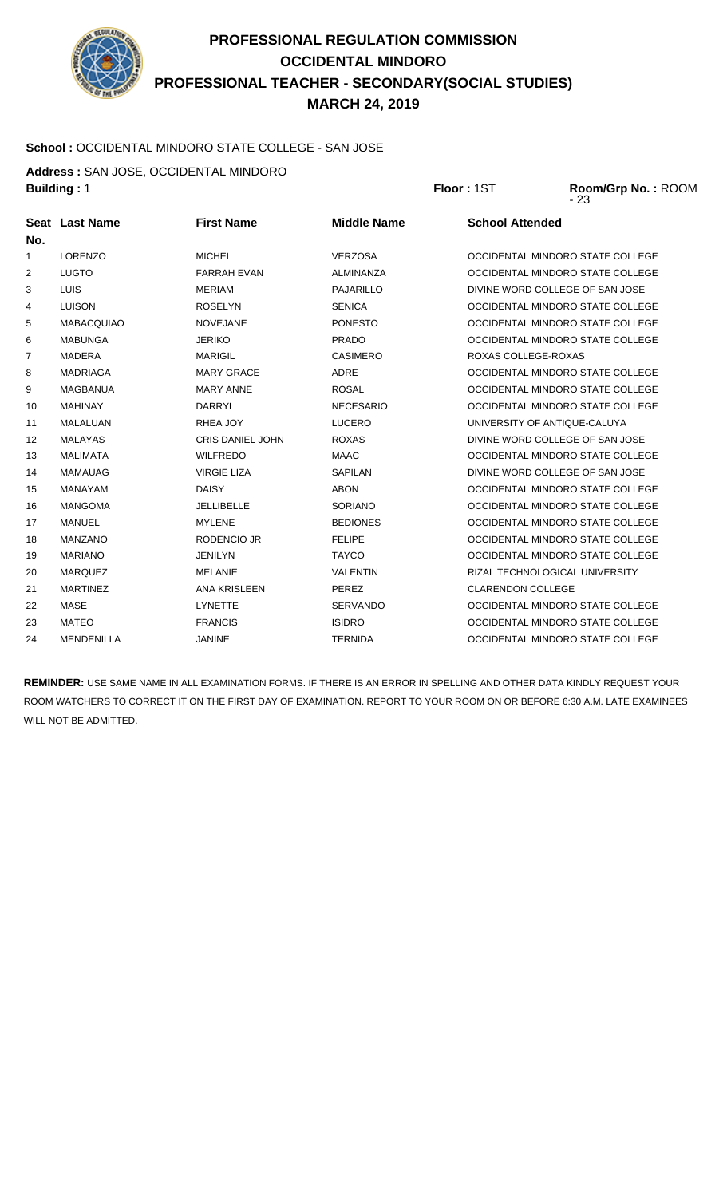

#### **School :** OCCIDENTAL MINDORO STATE COLLEGE - SAN JOSE

**Address :** SAN JOSE, OCCIDENTAL MINDORO

| AUGIESS . SAN JOSE, OCCIDENTAL MINDONO |            |                    |
|----------------------------------------|------------|--------------------|
| <b>Building: 1</b>                     | Floor: 1ST | Room/Grp No.: ROOM |

|                   |                       |                         |                    | ں ∠ -                            |
|-------------------|-----------------------|-------------------------|--------------------|----------------------------------|
| No.               | <b>Seat Last Name</b> | <b>First Name</b>       | <b>Middle Name</b> | <b>School Attended</b>           |
| $\mathbf{1}$      | <b>LORENZO</b>        | <b>MICHEL</b>           | <b>VERZOSA</b>     | OCCIDENTAL MINDORO STATE COLLEGE |
| 2                 | <b>LUGTO</b>          | <b>FARRAH EVAN</b>      | ALMINANZA          | OCCIDENTAL MINDORO STATE COLLEGE |
| 3                 | <b>LUIS</b>           | <b>MERIAM</b>           | <b>PAJARILLO</b>   | DIVINE WORD COLLEGE OF SAN JOSE  |
| 4                 | <b>LUISON</b>         | <b>ROSELYN</b>          | <b>SENICA</b>      | OCCIDENTAL MINDORO STATE COLLEGE |
| 5                 | <b>MABACQUIAO</b>     | <b>NOVEJANE</b>         | <b>PONESTO</b>     | OCCIDENTAL MINDORO STATE COLLEGE |
| 6                 | <b>MABUNGA</b>        | <b>JERIKO</b>           | <b>PRADO</b>       | OCCIDENTAL MINDORO STATE COLLEGE |
| 7                 | <b>MADERA</b>         | <b>MARIGIL</b>          | <b>CASIMERO</b>    | ROXAS COLLEGE-ROXAS              |
| 8                 | <b>MADRIAGA</b>       | <b>MARY GRACE</b>       | <b>ADRE</b>        | OCCIDENTAL MINDORO STATE COLLEGE |
| 9                 | <b>MAGBANUA</b>       | <b>MARY ANNE</b>        | <b>ROSAL</b>       | OCCIDENTAL MINDORO STATE COLLEGE |
| 10                | <b>MAHINAY</b>        | <b>DARRYL</b>           | <b>NECESARIO</b>   | OCCIDENTAL MINDORO STATE COLLEGE |
| 11                | MALALUAN              | RHEA JOY                | <b>LUCERO</b>      | UNIVERSITY OF ANTIQUE-CALUYA     |
| $12 \overline{ }$ | <b>MALAYAS</b>        | <b>CRIS DANIEL JOHN</b> | <b>ROXAS</b>       | DIVINE WORD COLLEGE OF SAN JOSE  |
| 13                | <b>MALIMATA</b>       | <b>WILFREDO</b>         | <b>MAAC</b>        | OCCIDENTAL MINDORO STATE COLLEGE |
| 14                | <b>MAMAUAG</b>        | <b>VIRGIE LIZA</b>      | <b>SAPILAN</b>     | DIVINE WORD COLLEGE OF SAN JOSE  |
| 15                | <b>MANAYAM</b>        | <b>DAISY</b>            | <b>ABON</b>        | OCCIDENTAL MINDORO STATE COLLEGE |
| 16                | <b>MANGOMA</b>        | <b>JELLIBELLE</b>       | <b>SORIANO</b>     | OCCIDENTAL MINDORO STATE COLLEGE |
| 17                | <b>MANUEL</b>         | <b>MYLENE</b>           | <b>BEDIONES</b>    | OCCIDENTAL MINDORO STATE COLLEGE |
| 18                | <b>MANZANO</b>        | <b>RODENCIO JR</b>      | <b>FELIPE</b>      | OCCIDENTAL MINDORO STATE COLLEGE |
| 19                | <b>MARIANO</b>        | <b>JENILYN</b>          | <b>TAYCO</b>       | OCCIDENTAL MINDORO STATE COLLEGE |
| 20                | <b>MARQUEZ</b>        | <b>MELANIE</b>          | <b>VALENTIN</b>    | RIZAL TECHNOLOGICAL UNIVERSITY   |
| 21                | <b>MARTINEZ</b>       | <b>ANA KRISLEEN</b>     | PEREZ              | <b>CLARENDON COLLEGE</b>         |
| 22                | <b>MASE</b>           | <b>LYNETTE</b>          | <b>SERVANDO</b>    | OCCIDENTAL MINDORO STATE COLLEGE |
| 23                | <b>MATEO</b>          | <b>FRANCIS</b>          | <b>ISIDRO</b>      | OCCIDENTAL MINDORO STATE COLLEGE |
| 24                | MENDENILLA            | <b>JANINE</b>           | <b>TERNIDA</b>     | OCCIDENTAL MINDORO STATE COLLEGE |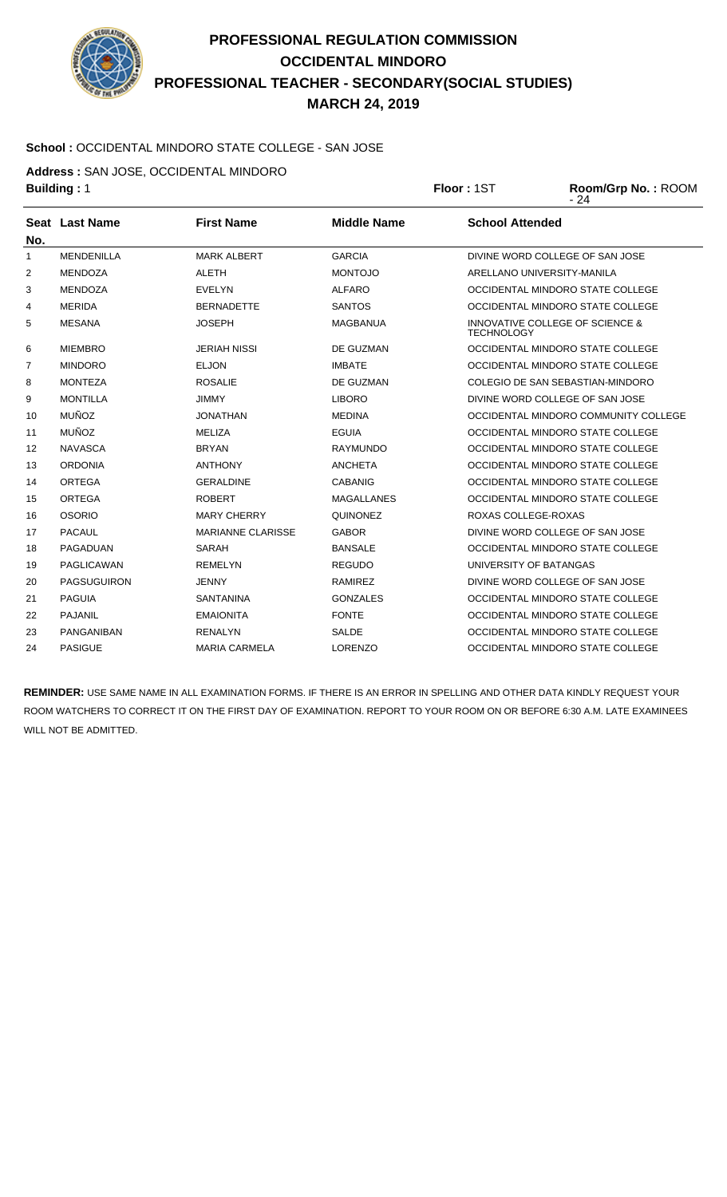

# **PROFESSIONAL REGULATION COMMISSION OCCIDENTAL MINDORO PROFESSIONAL TEACHER - SECONDARY(SOCIAL STUDIES) MARCH 24, 2019**

#### **School :** OCCIDENTAL MINDORO STATE COLLEGE - SAN JOSE

**Address :** SAN JOSE, OCCIDENTAL MINDORO

|                | <b>Building: 1</b>    |                          |                    | Floor: 1ST             | Room/Grp No.: ROOM<br>- 24           |  |
|----------------|-----------------------|--------------------------|--------------------|------------------------|--------------------------------------|--|
| No.            | <b>Seat Last Name</b> | <b>First Name</b>        | <b>Middle Name</b> | <b>School Attended</b> |                                      |  |
| 1              | <b>MENDENILLA</b>     | <b>MARK ALBERT</b>       | <b>GARCIA</b>      |                        | DIVINE WORD COLLEGE OF SAN JOSE      |  |
| 2              | <b>MENDOZA</b>        | <b>ALETH</b>             | <b>MONTOJO</b>     |                        | ARELLANO UNIVERSITY-MANILA           |  |
| 3              | <b>MENDOZA</b>        | <b>EVELYN</b>            | <b>ALFARO</b>      |                        | OCCIDENTAL MINDORO STATE COLLEGE     |  |
| 4              | <b>MERIDA</b>         | <b>BERNADETTE</b>        | <b>SANTOS</b>      |                        | OCCIDENTAL MINDORO STATE COLLEGE     |  |
| 5              | <b>MESANA</b>         | <b>JOSEPH</b>            | <b>MAGBANUA</b>    | <b>TECHNOLOGY</b>      | INNOVATIVE COLLEGE OF SCIENCE &      |  |
| 6              | <b>MIEMBRO</b>        | <b>JERIAH NISSI</b>      | DE GUZMAN          |                        | OCCIDENTAL MINDORO STATE COLLEGE     |  |
| $\overline{7}$ | <b>MINDORO</b>        | <b>ELJON</b>             | <b>IMBATE</b>      |                        | OCCIDENTAL MINDORO STATE COLLEGE     |  |
| 8              | <b>MONTEZA</b>        | <b>ROSALIE</b>           | DE GUZMAN          |                        | COLEGIO DE SAN SEBASTIAN-MINDORO     |  |
| 9              | <b>MONTILLA</b>       | <b>JIMMY</b>             | <b>LIBORO</b>      |                        | DIVINE WORD COLLEGE OF SAN JOSE      |  |
| 10             | <b>MUÑOZ</b>          | <b>JONATHAN</b>          | <b>MEDINA</b>      |                        | OCCIDENTAL MINDORO COMMUNITY COLLEGE |  |
| 11             | <b>MUÑOZ</b>          | <b>MELIZA</b>            | <b>EGUIA</b>       |                        | OCCIDENTAL MINDORO STATE COLLEGE     |  |
| 12             | <b>NAVASCA</b>        | <b>BRYAN</b>             | <b>RAYMUNDO</b>    |                        | OCCIDENTAL MINDORO STATE COLLEGE     |  |
| 13             | <b>ORDONIA</b>        | <b>ANTHONY</b>           | <b>ANCHETA</b>     |                        | OCCIDENTAL MINDORO STATE COLLEGE     |  |
| 14             | <b>ORTEGA</b>         | <b>GERALDINE</b>         | <b>CABANIG</b>     |                        | OCCIDENTAL MINDORO STATE COLLEGE     |  |
| 15             | <b>ORTEGA</b>         | <b>ROBERT</b>            | <b>MAGALLANES</b>  |                        | OCCIDENTAL MINDORO STATE COLLEGE     |  |
| 16             | <b>OSORIO</b>         | <b>MARY CHERRY</b>       | <b>QUINONEZ</b>    | ROXAS COLLEGE-ROXAS    |                                      |  |
| 17             | <b>PACAUL</b>         | <b>MARIANNE CLARISSE</b> | <b>GABOR</b>       |                        | DIVINE WORD COLLEGE OF SAN JOSE      |  |
| 18             | <b>PAGADUAN</b>       | SARAH                    | <b>BANSALE</b>     |                        | OCCIDENTAL MINDORO STATE COLLEGE     |  |
| 19             | <b>PAGLICAWAN</b>     | <b>REMELYN</b>           | <b>REGUDO</b>      | UNIVERSITY OF BATANGAS |                                      |  |
| 20             | <b>PAGSUGUIRON</b>    | <b>JENNY</b>             | <b>RAMIREZ</b>     |                        | DIVINE WORD COLLEGE OF SAN JOSE      |  |
| 21             | <b>PAGUIA</b>         | <b>SANTANINA</b>         | <b>GONZALES</b>    |                        | OCCIDENTAL MINDORO STATE COLLEGE     |  |
| 22             | <b>PAJANIL</b>        | <b>EMAIONITA</b>         | <b>FONTE</b>       |                        | OCCIDENTAL MINDORO STATE COLLEGE     |  |
| 23             | PANGANIBAN            | <b>RENALYN</b>           | <b>SALDE</b>       |                        | OCCIDENTAL MINDORO STATE COLLEGE     |  |

**REMINDER:** USE SAME NAME IN ALL EXAMINATION FORMS. IF THERE IS AN ERROR IN SPELLING AND OTHER DATA KINDLY REQUEST YOUR ROOM WATCHERS TO CORRECT IT ON THE FIRST DAY OF EXAMINATION. REPORT TO YOUR ROOM ON OR BEFORE 6:30 A.M. LATE EXAMINEES WILL NOT BE ADMITTED.

24 PASIGUE MARIA CARMELA LORENZO OCCIDENTAL MINDORO STATE COLLEGE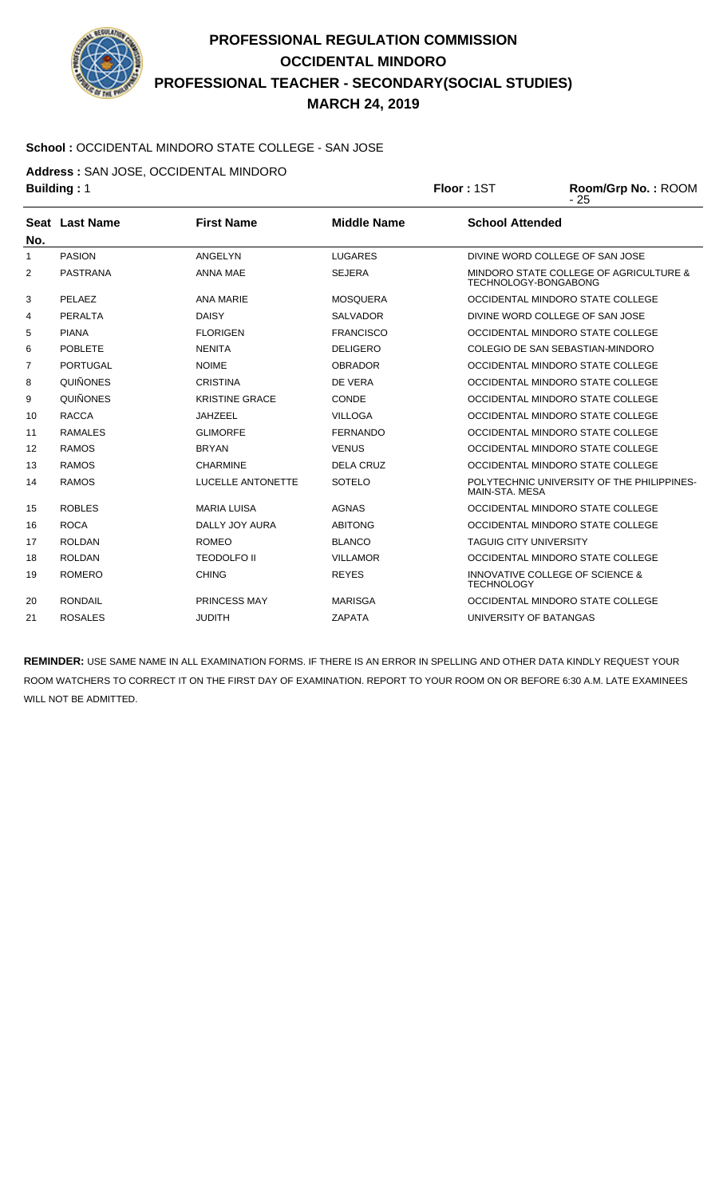

#### **School :** OCCIDENTAL MINDORO STATE COLLEGE - SAN JOSE

**Address :** SAN JOSE, OCCIDENTAL MINDORO

| <b>Building: 1</b> |                          |                    | Floor: 1ST                    | Room/Grp No.: ROOM<br>$-25$                |
|--------------------|--------------------------|--------------------|-------------------------------|--------------------------------------------|
|                    | <b>First Name</b>        | <b>Middle Name</b> | <b>School Attended</b>        |                                            |
|                    |                          |                    |                               |                                            |
| <b>PASION</b>      | ANGELYN                  | <b>LUGARES</b>     |                               | DIVINE WORD COLLEGE OF SAN JOSE            |
| <b>PASTRANA</b>    | <b>ANNA MAE</b>          | <b>SEJERA</b>      | TECHNOLOGY-BONGABONG          | MINDORO STATE COLLEGE OF AGRICULTURE &     |
| PELAEZ             | <b>ANA MARIE</b>         | <b>MOSQUERA</b>    |                               | OCCIDENTAL MINDORO STATE COLLEGE           |
| <b>PERALTA</b>     | <b>DAISY</b>             | <b>SALVADOR</b>    |                               | DIVINE WORD COLLEGE OF SAN JOSE            |
| <b>PIANA</b>       | <b>FLORIGEN</b>          | <b>FRANCISCO</b>   |                               | OCCIDENTAL MINDORO STATE COLLEGE           |
| <b>POBLETE</b>     | <b>NENITA</b>            | <b>DELIGERO</b>    |                               | COLEGIO DE SAN SEBASTIAN-MINDORO           |
| <b>PORTUGAL</b>    | <b>NOIME</b>             | <b>OBRADOR</b>     |                               | OCCIDENTAL MINDORO STATE COLLEGE           |
| <b>QUIÑONES</b>    | <b>CRISTINA</b>          | DE VERA            |                               | OCCIDENTAL MINDORO STATE COLLEGE           |
| <b>QUIÑONES</b>    | <b>KRISTINE GRACE</b>    | CONDE              |                               | OCCIDENTAL MINDORO STATE COLLEGE           |
| <b>RACCA</b>       | <b>JAHZEEL</b>           | <b>VILLOGA</b>     |                               | OCCIDENTAL MINDORO STATE COLLEGE           |
| <b>RAMALES</b>     | <b>GLIMORFE</b>          | <b>FERNANDO</b>    |                               | OCCIDENTAL MINDORO STATE COLLEGE           |
| <b>RAMOS</b>       | <b>BRYAN</b>             | <b>VENUS</b>       |                               | OCCIDENTAL MINDORO STATE COLLEGE           |
| <b>RAMOS</b>       | <b>CHARMINE</b>          | <b>DELA CRUZ</b>   |                               | OCCIDENTAL MINDORO STATE COLLEGE           |
| <b>RAMOS</b>       | <b>LUCELLE ANTONETTE</b> | <b>SOTELO</b>      | MAIN-STA, MESA                | POLYTECHNIC UNIVERSITY OF THE PHILIPPINES- |
| <b>ROBLES</b>      | <b>MARIA LUISA</b>       | <b>AGNAS</b>       |                               | OCCIDENTAL MINDORO STATE COLLEGE           |
| <b>ROCA</b>        | <b>DALLY JOY AURA</b>    | <b>ABITONG</b>     |                               | OCCIDENTAL MINDORO STATE COLLEGE           |
| <b>ROLDAN</b>      | <b>ROMEO</b>             | <b>BLANCO</b>      | <b>TAGUIG CITY UNIVERSITY</b> |                                            |
| <b>ROLDAN</b>      | <b>TEODOLFO II</b>       | <b>VILLAMOR</b>    |                               | OCCIDENTAL MINDORO STATE COLLEGE           |
| <b>ROMERO</b>      | <b>CHING</b>             | <b>REYES</b>       | <b>TECHNOLOGY</b>             | INNOVATIVE COLLEGE OF SCIENCE &            |
| <b>RONDAIL</b>     | PRINCESS MAY             | <b>MARISGA</b>     |                               | OCCIDENTAL MINDORO STATE COLLEGE           |
| <b>ROSALES</b>     | <b>JUDITH</b>            | <b>ZAPATA</b>      | UNIVERSITY OF BATANGAS        |                                            |
|                    | Seat Last Name           |                    |                               |                                            |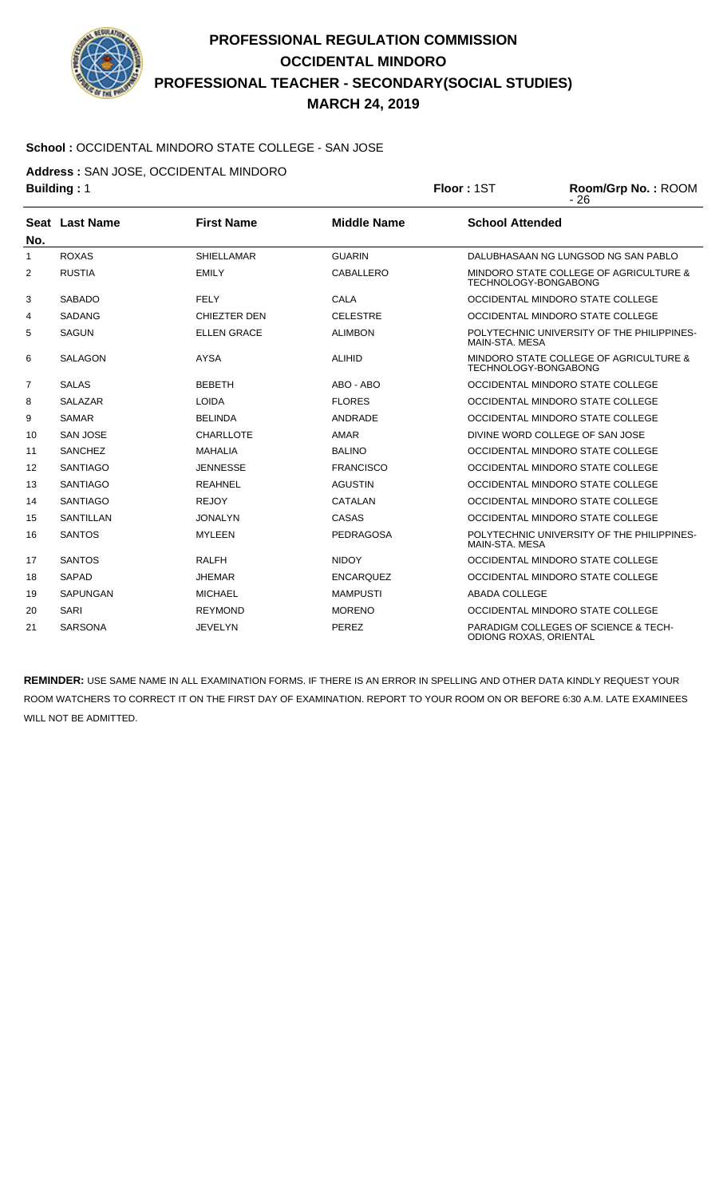

#### **School :** OCCIDENTAL MINDORO STATE COLLEGE - SAN JOSE

**Address :** SAN JOSE, OCCIDENTAL MINDORO

| <b>Building: 1</b> |                  |                     | Floor: 1ST         | Room/Grp No.: ROOM<br>$-26$                                    |                                            |
|--------------------|------------------|---------------------|--------------------|----------------------------------------------------------------|--------------------------------------------|
|                    | Seat Last Name   | <b>First Name</b>   | <b>Middle Name</b> | <b>School Attended</b>                                         |                                            |
| No.                |                  |                     |                    |                                                                |                                            |
| 1                  | <b>ROXAS</b>     | <b>SHIELLAMAR</b>   | <b>GUARIN</b>      |                                                                | DALUBHASAAN NG LUNGSOD NG SAN PABLO        |
| 2                  | <b>RUSTIA</b>    | <b>EMILY</b>        | CABALLERO          | TECHNOLOGY-BONGABONG                                           | MINDORO STATE COLLEGE OF AGRICULTURE &     |
| 3                  | <b>SABADO</b>    | <b>FELY</b>         | <b>CALA</b>        |                                                                | OCCIDENTAL MINDORO STATE COLLEGE           |
| 4                  | <b>SADANG</b>    | <b>CHIEZTER DEN</b> | <b>CELESTRE</b>    |                                                                | OCCIDENTAL MINDORO STATE COLLEGE           |
| 5                  | <b>SAGUN</b>     | <b>ELLEN GRACE</b>  | <b>ALIMBON</b>     | MAIN-STA, MESA                                                 | POLYTECHNIC UNIVERSITY OF THE PHILIPPINES- |
| 6                  | <b>SALAGON</b>   | <b>AYSA</b>         | <b>ALIHID</b>      | MINDORO STATE COLLEGE OF AGRICULTURE &<br>TECHNOLOGY-BONGABONG |                                            |
| $\overline{7}$     | <b>SALAS</b>     | <b>BEBETH</b>       | ABO - ABO          |                                                                | OCCIDENTAL MINDORO STATE COLLEGE           |
| 8                  | <b>SALAZAR</b>   | <b>LOIDA</b>        | <b>FLORES</b>      |                                                                | OCCIDENTAL MINDORO STATE COLLEGE           |
| 9                  | <b>SAMAR</b>     | <b>BELINDA</b>      | ANDRADE            |                                                                | OCCIDENTAL MINDORO STATE COLLEGE           |
| 10                 | <b>SAN JOSE</b>  | <b>CHARLLOTE</b>    | <b>AMAR</b>        |                                                                | DIVINE WORD COLLEGE OF SAN JOSE            |
| 11                 | <b>SANCHEZ</b>   | <b>MAHALIA</b>      | <b>BALINO</b>      |                                                                | OCCIDENTAL MINDORO STATE COLLEGE           |
| 12                 | <b>SANTIAGO</b>  | <b>JENNESSE</b>     | <b>FRANCISCO</b>   |                                                                | OCCIDENTAL MINDORO STATE COLLEGE           |
| 13                 | <b>SANTIAGO</b>  | <b>REAHNEL</b>      | <b>AGUSTIN</b>     |                                                                | OCCIDENTAL MINDORO STATE COLLEGE           |
| 14                 | <b>SANTIAGO</b>  | <b>REJOY</b>        | <b>CATALAN</b>     |                                                                | OCCIDENTAL MINDORO STATE COLLEGE           |
| 15                 | <b>SANTILLAN</b> | <b>JONALYN</b>      | CASAS              |                                                                | OCCIDENTAL MINDORO STATE COLLEGE           |
| 16                 | <b>SANTOS</b>    | <b>MYLEEN</b>       | <b>PEDRAGOSA</b>   | MAIN-STA, MESA                                                 | POLYTECHNIC UNIVERSITY OF THE PHILIPPINES- |
| 17                 | <b>SANTOS</b>    | <b>RALFH</b>        | <b>NIDOY</b>       |                                                                | OCCIDENTAL MINDORO STATE COLLEGE           |
| 18                 | <b>SAPAD</b>     | <b>JHEMAR</b>       | <b>ENCARQUEZ</b>   |                                                                | OCCIDENTAL MINDORO STATE COLLEGE           |
| 19                 | <b>SAPUNGAN</b>  | <b>MICHAEL</b>      | <b>MAMPUSTI</b>    | <b>ABADA COLLEGE</b>                                           |                                            |
| 20                 | <b>SARI</b>      | <b>REYMOND</b>      | <b>MORENO</b>      |                                                                | OCCIDENTAL MINDORO STATE COLLEGE           |
| 21                 | <b>SARSONA</b>   | <b>JEVELYN</b>      | PEREZ              | ODIONG ROXAS, ORIENTAL                                         | PARADIGM COLLEGES OF SCIENCE & TECH-       |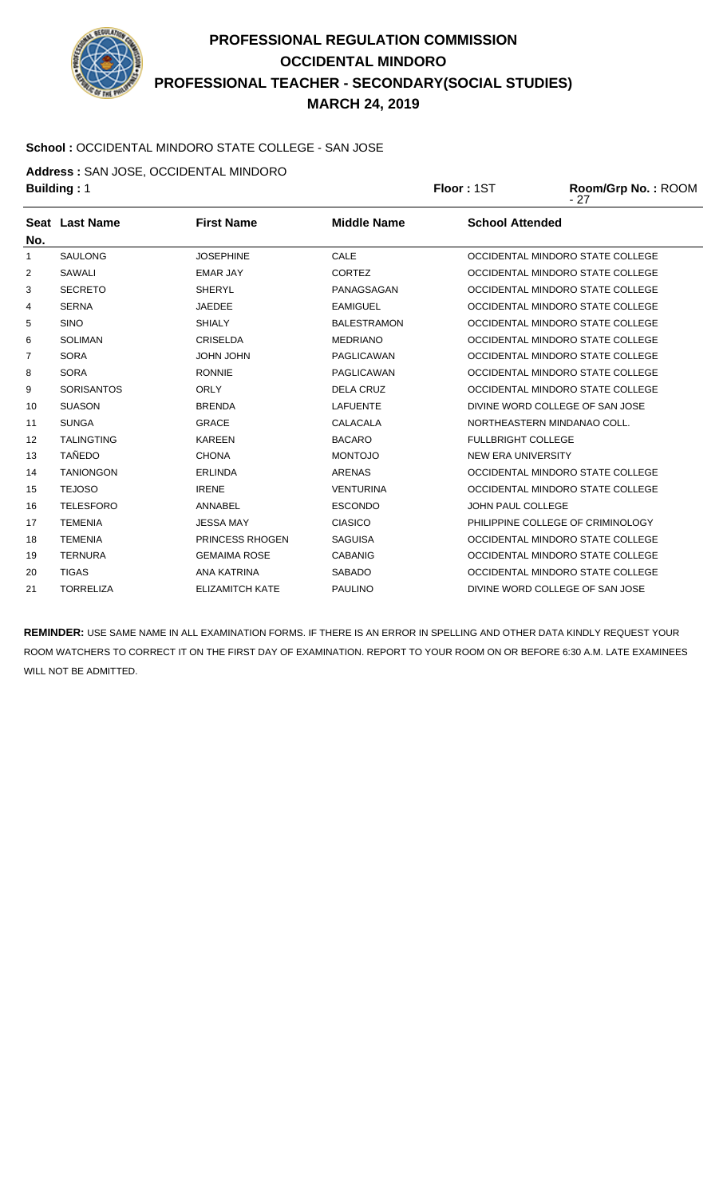

#### **School :** OCCIDENTAL MINDORO STATE COLLEGE - SAN JOSE

**Address :** SAN JOSE, OCCIDENTAL MINDORO

|                   | <b>Building: 1</b> |                        | Floor: 1ST         | Room/Grp No.: ROOM<br>- 27 |                                   |
|-------------------|--------------------|------------------------|--------------------|----------------------------|-----------------------------------|
| No.               | Seat Last Name     | <b>First Name</b>      | <b>Middle Name</b> | <b>School Attended</b>     |                                   |
| 1                 | <b>SAULONG</b>     | <b>JOSEPHINE</b>       | CALE               |                            | OCCIDENTAL MINDORO STATE COLLEGE  |
| 2                 | <b>SAWALI</b>      | <b>EMAR JAY</b>        | <b>CORTEZ</b>      |                            | OCCIDENTAL MINDORO STATE COLLEGE  |
| 3                 | <b>SECRETO</b>     | <b>SHERYL</b>          | PANAGSAGAN         |                            | OCCIDENTAL MINDORO STATE COLLEGE  |
| 4                 | <b>SERNA</b>       | <b>JAEDEE</b>          | <b>EAMIGUEL</b>    |                            | OCCIDENTAL MINDORO STATE COLLEGE  |
| 5                 | <b>SINO</b>        | <b>SHIALY</b>          | <b>BALESTRAMON</b> |                            | OCCIDENTAL MINDORO STATE COLLEGE  |
| 6                 | <b>SOLIMAN</b>     | <b>CRISELDA</b>        | <b>MEDRIANO</b>    |                            | OCCIDENTAL MINDORO STATE COLLEGE  |
| $\overline{7}$    | <b>SORA</b>        | <b>UHOL UHOL</b>       | PAGLICAWAN         |                            | OCCIDENTAL MINDORO STATE COLLEGE  |
| 8                 | <b>SORA</b>        | <b>RONNIE</b>          | <b>PAGLICAWAN</b>  |                            | OCCIDENTAL MINDORO STATE COLLEGE  |
| 9                 | <b>SORISANTOS</b>  | <b>ORLY</b>            | <b>DELA CRUZ</b>   |                            | OCCIDENTAL MINDORO STATE COLLEGE  |
| 10                | <b>SUASON</b>      | <b>BRENDA</b>          | <b>LAFUENTE</b>    |                            | DIVINE WORD COLLEGE OF SAN JOSE   |
| 11                | <b>SUNGA</b>       | <b>GRACE</b>           | <b>CALACALA</b>    |                            | NORTHEASTERN MINDANAO COLL.       |
| $12 \overline{ }$ | <b>TALINGTING</b>  | <b>KAREEN</b>          | <b>BACARO</b>      | <b>FULLBRIGHT COLLEGE</b>  |                                   |
| 13                | <b>TAÑEDO</b>      | <b>CHONA</b>           | <b>MONTOJO</b>     | <b>NEW ERA UNIVERSITY</b>  |                                   |
| 14                | <b>TANIONGON</b>   | <b>ERLINDA</b>         | <b>ARENAS</b>      |                            | OCCIDENTAL MINDORO STATE COLLEGE  |
| 15                | <b>TEJOSO</b>      | <b>IRENE</b>           | <b>VENTURINA</b>   |                            | OCCIDENTAL MINDORO STATE COLLEGE  |
| 16                | <b>TELESFORO</b>   | <b>ANNABEL</b>         | <b>ESCONDO</b>     | <b>JOHN PAUL COLLEGE</b>   |                                   |
| 17                | <b>TEMENIA</b>     | <b>JESSA MAY</b>       | <b>CIASICO</b>     |                            | PHILIPPINE COLLEGE OF CRIMINOLOGY |
| 18                | <b>TEMENIA</b>     | <b>PRINCESS RHOGEN</b> | <b>SAGUISA</b>     |                            | OCCIDENTAL MINDORO STATE COLLEGE  |

**REMINDER:** USE SAME NAME IN ALL EXAMINATION FORMS. IF THERE IS AN ERROR IN SPELLING AND OTHER DATA KINDLY REQUEST YOUR ROOM WATCHERS TO CORRECT IT ON THE FIRST DAY OF EXAMINATION. REPORT TO YOUR ROOM ON OR BEFORE 6:30 A.M. LATE EXAMINEES WILL NOT BE ADMITTED.

19 TERNURA GEMAIMA ROSE CABANIG OCCIDENTAL MINDORO STATE COLLEGE 20 TIGAS ANA KATRINA SABADO OCCIDENTAL MINDORO STATE COLLEGE 21 TORRELIZA ELIZAMITCH KATE PAULINO DIVINE WORD COLLEGE OF SAN JOSE